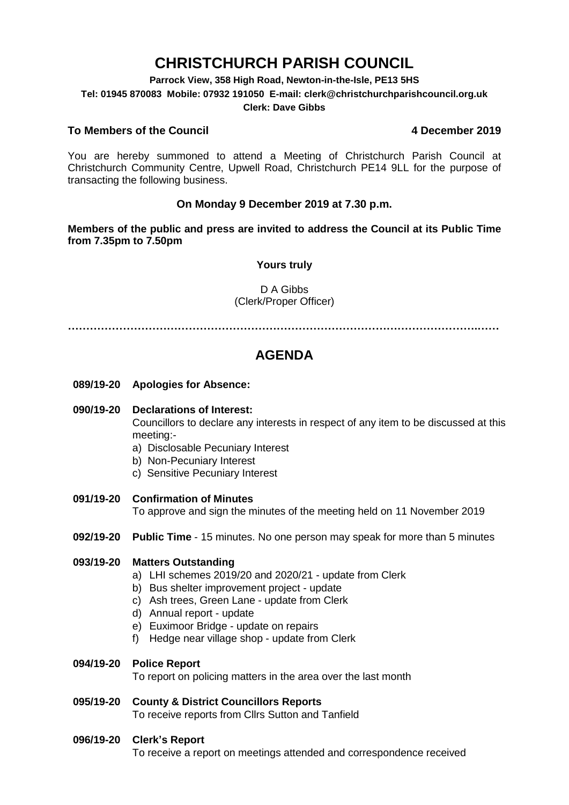# **CHRISTCHURCH PARISH COUNCIL**

**Parrock View, 358 High Road, Newton-in-the-Isle, PE13 5HS**

**Tel: 01945 870083 Mobile: 07932 191050 E-mail: clerk@christchurchparishcouncil.org.uk**

#### **Clerk: Dave Gibbs**

### **To Members of the Council 4 December 2019**

You are hereby summoned to attend a Meeting of Christchurch Parish Council at Christchurch Community Centre, Upwell Road, Christchurch PE14 9LL for the purpose of transacting the following business.

### **On Monday 9 December 2019 at 7.30 p.m.**

**Members of the public and press are invited to address the Council at its Public Time from 7.35pm to 7.50pm**

#### **Yours truly**

D A Gibbs (Clerk/Proper Officer)

**………………………………………………………………………………………………….……**

## **AGENDA**

**089/19-20 Apologies for Absence:** 

#### **090/19-20 Declarations of Interest:**

Councillors to declare any interests in respect of any item to be discussed at this meeting:-

- a) Disclosable Pecuniary Interest
- b) Non-Pecuniary Interest
- c) Sensitive Pecuniary Interest
- **091/19-20 Confirmation of Minutes**

To approve and sign the minutes of the meeting held on 11 November 2019

**092/19-20 Public Time** - 15 minutes. No one person may speak for more than 5 minutes

#### **093/19-20 Matters Outstanding**

- a) LHI schemes 2019/20 and 2020/21 update from Clerk
- b) Bus shelter improvement project update
- c) Ash trees, Green Lane update from Clerk
- d) Annual report update
- e) Euximoor Bridge update on repairs
- f) Hedge near village shop update from Clerk

#### **094/19-20 Police Report**

To report on policing matters in the area over the last month

#### **095/19-20 County & District Councillors Reports**  To receive reports from Cllrs Sutton and Tanfield

#### **096/19-20 Clerk's Report**

To receive a report on meetings attended and correspondence received